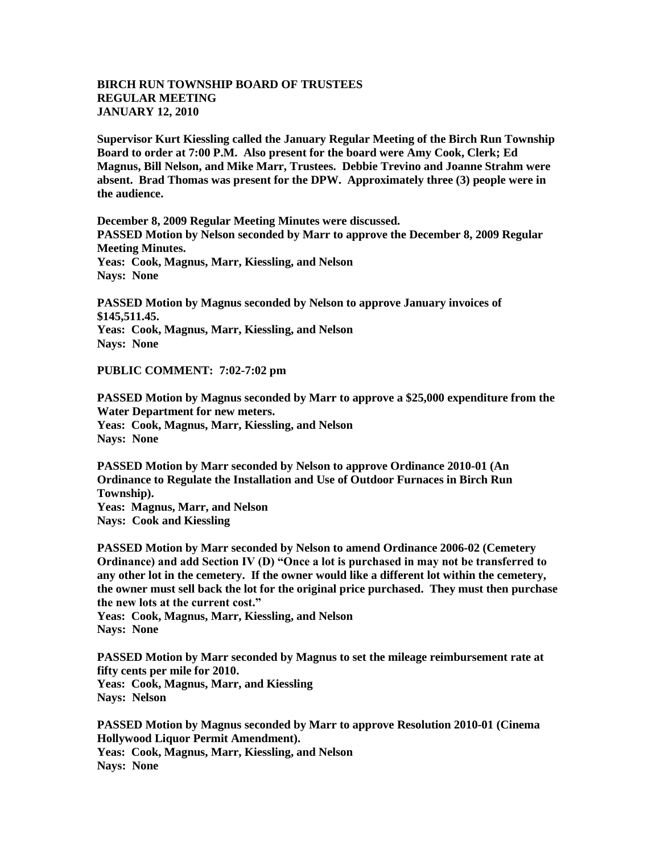## **BIRCH RUN TOWNSHIP BOARD OF TRUSTEES REGULAR MEETING JANUARY 12, 2010**

**Supervisor Kurt Kiessling called the January Regular Meeting of the Birch Run Township Board to order at 7:00 P.M. Also present for the board were Amy Cook, Clerk; Ed Magnus, Bill Nelson, and Mike Marr, Trustees. Debbie Trevino and Joanne Strahm were absent. Brad Thomas was present for the DPW. Approximately three (3) people were in the audience.** 

**December 8, 2009 Regular Meeting Minutes were discussed. PASSED Motion by Nelson seconded by Marr to approve the December 8, 2009 Regular Meeting Minutes. Yeas: Cook, Magnus, Marr, Kiessling, and Nelson Nays: None** 

**PASSED Motion by Magnus seconded by Nelson to approve January invoices of \$145,511.45. Yeas: Cook, Magnus, Marr, Kiessling, and Nelson Nays: None** 

**PUBLIC COMMENT: 7:02-7:02 pm**

**PASSED Motion by Magnus seconded by Marr to approve a \$25,000 expenditure from the Water Department for new meters. Yeas: Cook, Magnus, Marr, Kiessling, and Nelson Nays: None**

**PASSED Motion by Marr seconded by Nelson to approve Ordinance 2010-01 (An Ordinance to Regulate the Installation and Use of Outdoor Furnaces in Birch Run Township). Yeas: Magnus, Marr, and Nelson Nays: Cook and Kiessling**

**PASSED Motion by Marr seconded by Nelson to amend Ordinance 2006-02 (Cemetery Ordinance) and add Section IV (D) "Once a lot is purchased in may not be transferred to any other lot in the cemetery. If the owner would like a different lot within the cemetery, the owner must sell back the lot for the original price purchased. They must then purchase the new lots at the current cost."**

**Yeas: Cook, Magnus, Marr, Kiessling, and Nelson Nays: None**

**PASSED Motion by Marr seconded by Magnus to set the mileage reimbursement rate at fifty cents per mile for 2010. Yeas: Cook, Magnus, Marr, and Kiessling Nays: Nelson**

**PASSED Motion by Magnus seconded by Marr to approve Resolution 2010-01 (Cinema Hollywood Liquor Permit Amendment). Yeas: Cook, Magnus, Marr, Kiessling, and Nelson Nays: None**